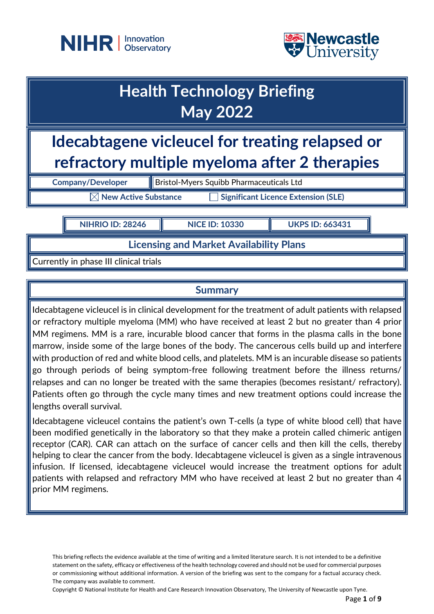



| <b>Health Technology Briefing</b><br><b>May 2022</b>                                             |                          |                                                 |  |  |
|--------------------------------------------------------------------------------------------------|--------------------------|-------------------------------------------------|--|--|
| Idecabtagene vicleucel for treating relapsed or<br>refractory multiple myeloma after 2 therapies |                          |                                                 |  |  |
|                                                                                                  | <b>Company/Developer</b> | <b>Bristol-Myers Squibb Pharmaceuticals Ltd</b> |  |  |
| <b>Significant Licence Extension (SLE)</b><br><b>New Active Substance</b>                        |                          |                                                 |  |  |
|                                                                                                  |                          |                                                 |  |  |

**Licensing and Market Availability Plans**

Currently in phase III clinical trials

## **Summary**

Idecabtagene vicleucel is in clinical development for the treatment of adult patients with relapsed or refractory multiple myeloma (MM) who have received at least 2 but no greater than 4 prior MM regimens. MM is a rare, incurable blood cancer that forms in the plasma calls in the bone marrow, inside some of the large bones of the body. The cancerous cells build up and interfere with production of red and white blood cells, and platelets. MM is an incurable disease so patients go through periods of being symptom-free following treatment before the illness returns/ relapses and can no longer be treated with the same therapies (becomes resistant/ refractory). Patients often go through the cycle many times and new treatment options could increase the lengths overall survival.

Idecabtagene vicleucel contains the patient's own T-cells (a type of white blood cell) that have been modified genetically in the laboratory so that they make a protein called chimeric antigen receptor (CAR). CAR can attach on the surface of cancer cells and then kill the cells, thereby helping to clear the cancer from the body. Idecabtagene vicleucel is given as a single intravenous infusion. If licensed, idecabtagene vicleucel would increase the treatment options for adult patients with relapsed and refractory MM who have received at least 2 but no greater than 4 prior MM regimens.

This briefing reflects the evidence available at the time of writing and a limited literature search. It is not intended to be a definitive statement on the safety, efficacy or effectiveness of the health technology covered and should not be used for commercial purposes or commissioning without additional information. A version of the briefing was sent to the company for a factual accuracy check. The company was available to comment.

Copyright © National Institute for Health and Care Research Innovation Observatory, The University of Newcastle upon Tyne.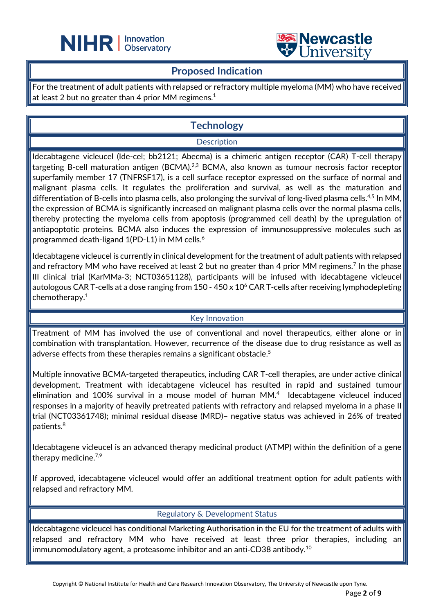



## **Proposed Indication**

L

For the treatment of adult patients with relapsed or refractory multiple myeloma (MM) who have received at least 2 but no greater than 4 prior MM regimens. $^{\rm 1}$ 

# **Technology**

#### **Description**

Idecabtagene vicleucel (Ide-cel; bb2121; Abecma) is a chimeric antigen receptor (CAR) T-cell therapy targeting B-cell maturation antigen (BCMA).<sup>2,3</sup> BCMA, also known as tumour necrosis factor receptor superfamily member 17 (TNFRSF17), is a cell surface receptor expressed on the surface of normal and malignant plasma cells. It regulates the proliferation and survival, as well as the maturation and differentiation of B-cells into plasma cells, also prolonging the survival of long-lived plasma cells.<sup>4,5</sup> In MM, the expression of BCMA is significantly increased on malignant plasma cells over the normal plasma cells, thereby protecting the myeloma cells from apoptosis (programmed cell death) by the upregulation of antiapoptotic proteins. BCMA also induces the expression of immunosuppressive molecules such as programmed death-ligand 1(PD-L1) in MM cells.<sup>6</sup>

Idecabtagene vicleucel is currently in clinical development for the treatment of adult patients with relapsed and refractory MM who have received at least 2 but no greater than 4 prior MM regimens.<sup>7</sup> In the phase III clinical trial (KarMMa-3; NCT03651128), participants will be infused with idecabtagene vicleucel autologous CAR T-cells at a dose ranging from 150 - 450 x 10<sup>6</sup> CAR T-cells after receiving lymphodepleting chemotherapy. 1

### Key Innovation

Treatment of MM has involved the use of conventional and novel therapeutics, either alone or in combination with transplantation. However, recurrence of the disease due to drug resistance as well as adverse effects from these therapies remains a significant obstacle.<sup>5</sup>

Multiple innovative BCMA-targeted therapeutics, including CAR T-cell therapies, are under active clinical development. Treatment with idecabtagene vicleucel has resulted in rapid and sustained tumour elimination and 100% survival in a mouse model of human MM.<sup>4</sup> Idecabtagene vicleucel induced responses in a majority of heavily pretreated patients with refractory and relapsed myeloma in a phase II trial (NCT03361748); minimal residual disease (MRD)– negative status was achieved in 26% of treated patients.8

Idecabtagene vicleucel is an advanced therapy medicinal product (ATMP) within the definition of a gene therapy medicine.<sup>7,9</sup>

If approved, idecabtagene vicleucel would offer an additional treatment option for adult patients with relapsed and refractory MM.

#### Regulatory & Development Status

Idecabtagene vicleucel has conditional Marketing Authorisation in the EU for the treatment of adults with relapsed and refractory MM who have received at least three prior therapies, including an  $\,$ immunomodulatory agent, a proteasome inhibitor and an anti-CD38 antibody. $^{10}$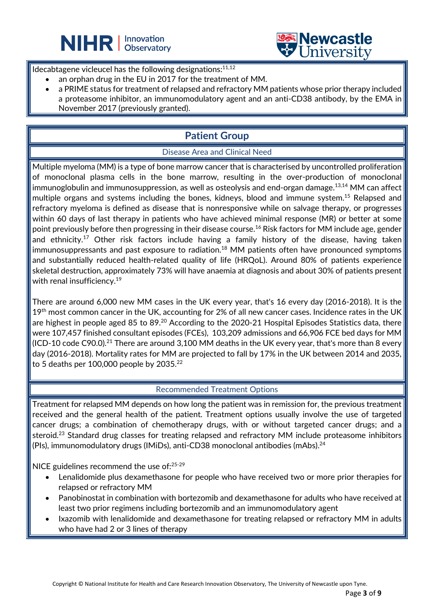



Idecabtagene vicleucel has the following designations:<sup>11,12</sup>

an orphan drug in the EU in 2017 for the treatment of MM.

L

• a PRIME status for treatment of relapsed and refractory MM patients whose prior therapy included a proteasome inhibitor, an immunomodulatory agent and an anti-CD38 antibody, by the EMA in November 2017 (previously granted).

# **Patient Group**

### Disease Area and Clinical Need

Multiple myeloma (MM) is a type of bone marrow cancer that is characterised by uncontrolled proliferation of monoclonal plasma cells in the bone marrow, resulting in the over-production of monoclonal immunoglobulin and immunosuppression, as well as osteolysis and end-organ damage.<sup>13,14</sup> MM can affect multiple organs and systems including the bones, kidneys, blood and immune system.15 Relapsed and refractory myeloma is defined as disease that is nonresponsive while on salvage therapy, or progresses within 60 days of last therapy in patients who have achieved minimal response (MR) or better at some point previously before then progressing in their disease course. <sup>16</sup> Risk factors for MM include age, gender and ethnicity.<sup>17</sup> Other risk factors include having a family history of the disease, having taken immunosuppressants and past exposure to radiation.<sup>18</sup> MM patients often have pronounced symptoms and substantially reduced health-related quality of life (HRQoL). Around 80% of patients experience skeletal destruction, approximately 73% will have anaemia at diagnosis and about 30% of patients present with renal insufficiency.<sup>19</sup>

There are around 6,000 new MM cases in the UK every year, that's 16 every day (2016-2018). It is the  $19<sup>th</sup>$  most common cancer in the UK, accounting for 2% of all new cancer cases. Incidence rates in the UK are highest in people aged 85 to 89.<sup>20</sup> According to the 2020-21 Hospital Episodes Statistics data, there were 107,457 finished consultant episodes (FCEs), 103,209 admissions and 66,906 FCE bed days for MM (ICD-10 code C90.0). $^{21}$  There are around 3,100 MM deaths in the UK every year, that's more than 8 every day (2016-2018). Mortality rates for MM are projected to fall by 17% in the UK between 2014 and 2035, to 5 deaths per 100,000 people by  $2035.^{22}$ 

#### Recommended Treatment Options

Treatment for relapsed MM depends on how long the patient was in remission for, the previous treatment received and the general health of the patient. Treatment options usually involve the use of targeted cancer drugs; a combination of chemotherapy drugs, with or without targeted cancer drugs; and a steroid.<sup>23</sup> Standard drug classes for treating relapsed and refractory MM include proteasome inhibitors (PIs), immunomodulatory drugs (IMiDs), anti-CD38 monoclonal antibodies (mAbs).24

NICE guidelines recommend the use of:<sup>25-29</sup>

- Lenalidomide plus dexamethasone for people who have received two or more prior therapies for relapsed or refractory MM
- Panobinostat in combination with bortezomib and dexamethasone for adults who have received at least two prior regimens including bortezomib and an immunomodulatory agent
- Ixazomib with lenalidomide and dexamethasone for treating relapsed or refractory MM in adults who have had 2 or 3 lines of therapy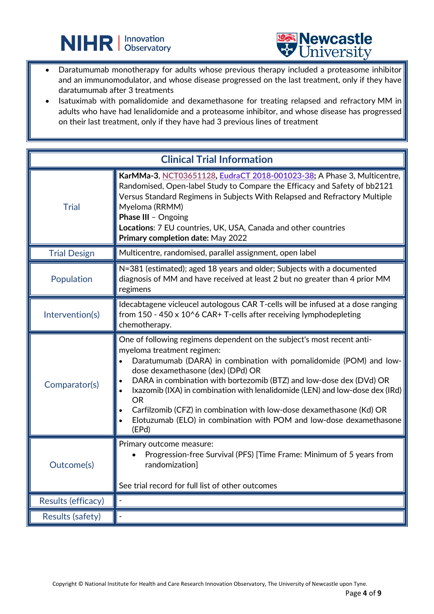



• Daratumumab monotherapy for adults whose previous therapy included a proteasome inhibitor and an immunomodulator, and whose disease progressed on the last treatment, only if they have daratumumab after 3 treatments

L

Isatuximab with pomalidomide and dexamethasone for treating relapsed and refractory MM in adults who have had lenalidomide and a proteasome inhibitor, and whose disease has progressed on their last treatment, only if they have had 3 previous lines of treatment

| <b>Clinical Trial Information</b> |                                                                                                                                                                                                                                                                                                                                                                                                                                                                                                                                             |  |  |
|-----------------------------------|---------------------------------------------------------------------------------------------------------------------------------------------------------------------------------------------------------------------------------------------------------------------------------------------------------------------------------------------------------------------------------------------------------------------------------------------------------------------------------------------------------------------------------------------|--|--|
| <b>Trial</b>                      | KarMMa-3, NCT03651128, EudraCT 2018-001023-38; A Phase 3, Multicentre,<br>Randomised, Open-label Study to Compare the Efficacy and Safety of bb2121<br>Versus Standard Regimens in Subjects With Relapsed and Refractory Multiple<br>Myeloma (RRMM)<br>Phase III - Ongoing<br>Locations: 7 EU countries, UK, USA, Canada and other countries<br>Primary completion date: May 2022                                                                                                                                                           |  |  |
| <b>Trial Design</b>               | Multicentre, randomised, parallel assignment, open label                                                                                                                                                                                                                                                                                                                                                                                                                                                                                    |  |  |
| Population                        | N=381 (estimated); aged 18 years and older; Subjects with a documented<br>diagnosis of MM and have received at least 2 but no greater than 4 prior MM<br>regimens                                                                                                                                                                                                                                                                                                                                                                           |  |  |
| Intervention(s)                   | Idecabtagene vicleucel autologous CAR T-cells will be infused at a dose ranging<br>from 150 - 450 x 10^6 CAR+ T-cells after receiving lymphodepleting<br>chemotherapy.                                                                                                                                                                                                                                                                                                                                                                      |  |  |
| Comparator(s)                     | One of following regimens dependent on the subject's most recent anti-<br>myeloma treatment regimen:<br>Daratumumab (DARA) in combination with pomalidomide (POM) and low-<br>dose dexamethasone (dex) (DPd) OR<br>DARA in combination with bortezomib (BTZ) and low-dose dex (DVd) OR<br>Ixazomib (IXA) in combination with lenalidomide (LEN) and low-dose dex (IRd)<br><b>OR</b><br>Carfilzomib (CFZ) in combination with low-dose dexamethasone (Kd) OR<br>Elotuzumab (ELO) in combination with POM and low-dose dexamethasone<br>(EPd) |  |  |
| Outcome(s)                        | Primary outcome measure:<br>Progression-free Survival (PFS) [Time Frame: Minimum of 5 years from<br>randomization]<br>See trial record for full list of other outcomes                                                                                                                                                                                                                                                                                                                                                                      |  |  |
| Results (efficacy)                |                                                                                                                                                                                                                                                                                                                                                                                                                                                                                                                                             |  |  |
| <b>Results (safety)</b>           |                                                                                                                                                                                                                                                                                                                                                                                                                                                                                                                                             |  |  |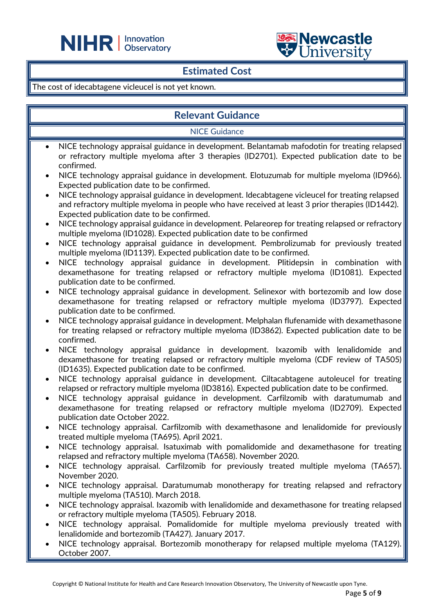



## **Estimated Cost**

L

#### The cost of idecabtagene vicleucel is not yet known.

## **Relevant Guidance**

NICE Guidance

- NICE technology appraisal guidance in development. Belantamab mafodotin for treating relapsed or refractory multiple myeloma after 3 therapies (ID2701). Expected publication date to be confirmed.
- NICE technology appraisal guidance in development. Elotuzumab for multiple myeloma (ID966). Expected publication date to be confirmed.
- NICE technology appraisal guidance in development. Idecabtagene vicleucel for treating relapsed and refractory multiple myeloma in people who have received at least 3 prior therapies (ID1442). Expected publication date to be confirmed.
- NICE technology appraisal guidance in development. Pelareorep for treating relapsed or refractory multiple myeloma (ID1028). Expected publication date to be confirmed
- NICE technology appraisal guidance in development. Pembrolizumab for previously treated multiple myeloma (ID1139). Expected publication date to be confirmed.
- NICE technology appraisal guidance in development. Plitidepsin in combination with dexamethasone for treating relapsed or refractory multiple myeloma (ID1081). Expected publication date to be confirmed.
- NICE technology appraisal guidance in development. Selinexor with bortezomib and low dose dexamethasone for treating relapsed or refractory multiple myeloma (ID3797). Expected publication date to be confirmed.
- NICE technology appraisal guidance in development. Melphalan flufenamide with dexamethasone for treating relapsed or refractory multiple myeloma (ID3862). Expected publication date to be confirmed.
- NICE technology appraisal guidance in development. Ixazomib with lenalidomide and dexamethasone for treating relapsed or refractory multiple myeloma (CDF review of TA505) (ID1635). Expected publication date to be confirmed.
- NICE technology appraisal guidance in development. Ciltacabtagene autoleucel for treating relapsed or refractory multiple myeloma (ID3816). Expected publication date to be confirmed.
- NICE technology appraisal guidance in development. Carfilzomib with daratumumab and dexamethasone for treating relapsed or refractory multiple myeloma (ID2709). Expected publication date October 2022.
- NICE technology appraisal. Carfilzomib with dexamethasone and lenalidomide for previously treated multiple myeloma (TA695). April 2021.
- NICE technology appraisal. Isatuximab with pomalidomide and dexamethasone for treating relapsed and refractory multiple myeloma (TA658). November 2020.
- NICE technology appraisal. Carfilzomib for previously treated multiple myeloma (TA657). November 2020.
- NICE technology appraisal. Daratumumab monotherapy for treating relapsed and refractory multiple myeloma (TA510). March 2018.
- NICE technology appraisal. Ixazomib with lenalidomide and dexamethasone for treating relapsed or refractory multiple myeloma (TA505). February 2018.
- NICE technology appraisal. Pomalidomide for multiple myeloma previously treated with lenalidomide and bortezomib (TA427). January 2017.
- NICE technology appraisal. Bortezomib monotherapy for relapsed multiple myeloma (TA129). October 2007.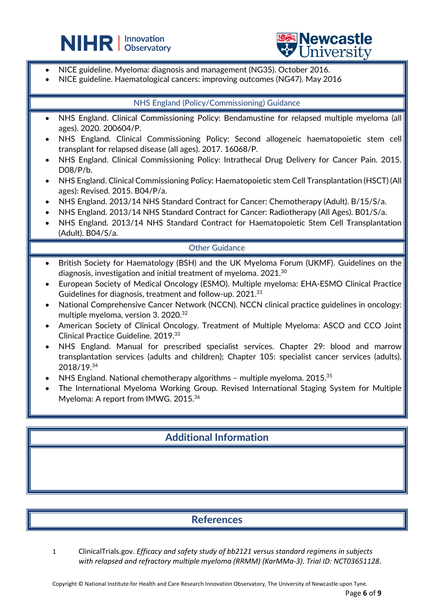



• NICE guideline. Myeloma: diagnosis and management (NG35). October 2016.

L

• NICE guideline. Haematological cancers: improving outcomes (NG47). May 2016

#### NHS England (Policy/Commissioning) Guidance

- NHS England. Clinical Commissioning Policy: Bendamustine for relapsed multiple myeloma (all ages). 2020. 200604/P.
- NHS England. Clinical Commissioning Policy: Second allogeneic haematopoietic stem cell transplant for relapsed disease (all ages). 2017. 16068/P.
- NHS England. Clinical Commissioning Policy: Intrathecal Drug Delivery for Cancer Pain. 2015. D08/P/b.
- NHS England. Clinical Commissioning Policy: Haematopoietic stem Cell Transplantation (HSCT) (All ages): Revised. 2015. B04/P/a.
- NHS England. 2013/14 NHS Standard Contract for Cancer: Chemotherapy (Adult). B/15/S/a.
- NHS England. 2013/14 NHS Standard Contract for Cancer: Radiotherapy (All Ages). B01/S/a.
- NHS England. 2013/14 NHS Standard Contract for Haematopoietic Stem Cell Transplantation (Adult). B04/S/a.

#### Other Guidance

- British Society for Haematology (BSH) and the UK Myeloma Forum (UKMF). Guidelines on the diagnosis, investigation and initial treatment of myeloma. 2021. $^{\rm 30}$
- European Society of Medical Oncology (ESMO). Multiple myeloma: EHA-ESMO Clinical Practice Guidelines for diagnosis, treatment and follow-up. 2021.<sup>31</sup>
- National Comprehensive Cancer Network (NCCN). NCCN clinical practice guidelines in oncology: multiple myeloma, version 3. 2020. 32
- American Society of Clinical Oncology. Treatment of Multiple Myeloma: ASCO and CCO Joint Clinical Practice Guideline. 2019. 33
- NHS England. Manual for prescribed specialist services. Chapter 29: blood and marrow transplantation services (adults and children); Chapter 105: specialist cancer services (adults). 2018/19. 34
- NHS England. National chemotherapy algorithms multiple myeloma.  $2015.^{35}$
- The International Myeloma Working Group. Revised International Staging System for Multiple Myeloma: A report from IMWG. 2015.<sup>36</sup>

## **Additional Information**

## **References**

1 ClinicalTrials.gov. *Efficacy and safety study of bb2121 versus standard regimens in subjects with relapsed and refractory multiple myeloma (RRMM) (KarMMa-3)*. *Trial ID: NCT03651128*.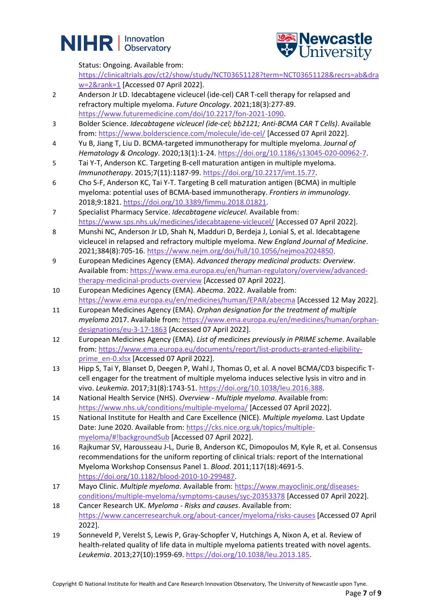



Status: Ongoing. Available from:

[https://clinicaltrials.gov/ct2/show/study/NCT03651128?term=NCT03651128&recrs=ab&dra](https://clinicaltrials.gov/ct2/show/study/NCT03651128?term=NCT03651128&recrs=ab&draw=2&rank=1) [w=2&rank=1](https://clinicaltrials.gov/ct2/show/study/NCT03651128?term=NCT03651128&recrs=ab&draw=2&rank=1) [Accessed 07 April 2022].

- 2 Anderson Jr LD. Idecabtagene vicleucel (ide-cel) CAR T-cell therapy for relapsed and refractory multiple myeloma. *Future Oncology*. 2021;18(3):277-89. [https://www.futuremedicine.com/doi/10.2217/fon-2021-1090.](https://www.futuremedicine.com/doi/10.2217/fon-2021-1090)
- 3 Bolder Science. *Idecabtagene vicleucel (ide-cel; bb2121; Anti-BCMA CAR T Cells)*. Available from:<https://www.bolderscience.com/molecule/ide-cel/> [Accessed 07 April 2022].
- 4 Yu B, Jiang T, Liu D. BCMA-targeted immunotherapy for multiple myeloma. *Journal of Hematology & Oncology*. 2020;13(1):1-24. [https://doi.org/10.1186/s13045-020-00962-7.](https://doi.org/10.1186/s13045-020-00962-7)
- 5 Tai Y-T, Anderson KC. Targeting B-cell maturation antigen in multiple myeloma. *Immunotherapy*. 2015;7(11):1187-99[. https://doi.org/10.2217/imt.15.77.](https://doi.org/10.2217/imt.15.77)
- 6 Cho S-F, Anderson KC, Tai Y-T. Targeting B cell maturation antigen (BCMA) in multiple myeloma: potential uses of BCMA-based immunotherapy. *Frontiers in immunology*. 2018;9:1821. [https://doi.org/10.3389/fimmu.2018.01821.](https://doi.org/10.3389/fimmu.2018.01821)
- 7 Specialist Pharmacy Service. *Idecabtagene vicleucel*. Available from: <https://www.sps.nhs.uk/medicines/idecabtagene-vicleucel/> [Accessed 07 April 2022].
- 8 Munshi NC, Anderson Jr LD, Shah N, Madduri D, Berdeja J, Lonial S, et al. Idecabtagene vicleucel in relapsed and refractory multiple myeloma. *New England Journal of Medicine*. 2021;384(8):705-16[. https://www.nejm.org/doi/full/10.1056/nejmoa2024850.](https://www.nejm.org/doi/full/10.1056/nejmoa2024850)
- 9 European Medicines Agency (EMA). *Advanced therapy medicinal products: Overview*. Available from: [https://www.ema.europa.eu/en/human-regulatory/overview/advanced](https://www.ema.europa.eu/en/human-regulatory/overview/advanced-therapy-medicinal-products-overview)[therapy-medicinal-products-overview](https://www.ema.europa.eu/en/human-regulatory/overview/advanced-therapy-medicinal-products-overview) [Accessed 07 April 2022].
- 10 European Medicines Agency (EMA). *Abecma*. 2022. Available from: <https://www.ema.europa.eu/en/medicines/human/EPAR/abecma> [Accessed 12 May 2022].
- 11 European Medicines Agency (EMA). *Orphan designation for the treatment of multiple myeloma* 2017. Available from: [https://www.ema.europa.eu/en/medicines/human/orphan](https://www.ema.europa.eu/en/medicines/human/orphan-designations/eu-3-17-1863)[designations/eu-3-17-1863](https://www.ema.europa.eu/en/medicines/human/orphan-designations/eu-3-17-1863) [Accessed 07 April 2022].
- 12 European Medicines Agency (EMA). *List of medicines previously in PRIME scheme*. Available from: [https://www.ema.europa.eu/documents/report/list-products-granted-eligibility](https://www.ema.europa.eu/documents/report/list-products-granted-eligibility-prime_en-0.xlsx)[prime\\_en-0.xlsx](https://www.ema.europa.eu/documents/report/list-products-granted-eligibility-prime_en-0.xlsx) [Accessed 07 April 2022].
- 13 Hipp S, Tai Y, Blanset D, Deegen P, Wahl J, Thomas O, et al. A novel BCMA/CD3 bispecific Tcell engager for the treatment of multiple myeloma induces selective lysis in vitro and in vivo. *Leukemia*. 2017;31(8):1743-51. [https://doi.org/10.1038/leu.2016.388.](https://doi.org/10.1038/leu.2016.388)
- 14 National Health Service (NHS). *Overview - Multiple myeloma*. Available from: <https://www.nhs.uk/conditions/multiple-myeloma/> [Accessed 07 April 2022].
- 15 National Institute for Health and Care Excellence (NICE). *Multiple myeloma*. Last Update Date: June 2020. Available from[: https://cks.nice.org.uk/topics/multiple](https://cks.nice.org.uk/topics/multiple-myeloma/#!backgroundSub)[myeloma/#!backgroundSub](https://cks.nice.org.uk/topics/multiple-myeloma/#!backgroundSub) [Accessed 07 April 2022].
- 16 Rajkumar SV, Harousseau J-L, Durie B, Anderson KC, Dimopoulos M, Kyle R, et al. Consensus recommendations for the uniform reporting of clinical trials: report of the International Myeloma Workshop Consensus Panel 1. *Blood*. 2011;117(18):4691-5. [https://doi.org/10.1182/blood-2010-10-299487.](https://doi.org/10.1182/blood-2010-10-299487)
- 17 Mayo Clinic. *Multiple myeloma*. Available from: [https://www.mayoclinic.org/diseases](https://www.mayoclinic.org/diseases-conditions/multiple-myeloma/symptoms-causes/syc-20353378)[conditions/multiple-myeloma/symptoms-causes/syc-20353378](https://www.mayoclinic.org/diseases-conditions/multiple-myeloma/symptoms-causes/syc-20353378) [Accessed 07 April 2022].
- 18 Cancer Research UK. *Myeloma - Risks and causes*. Available from: <https://www.cancerresearchuk.org/about-cancer/myeloma/risks-causes> [Accessed 07 April 2022].
- 19 Sonneveld P, Verelst S, Lewis P, Gray-Schopfer V, Hutchings A, Nixon A, et al. Review of health-related quality of life data in multiple myeloma patients treated with novel agents. *Leukemia*. 2013;27(10):1959-69. [https://doi.org/10.1038/leu.2013.185.](https://doi.org/10.1038/leu.2013.185)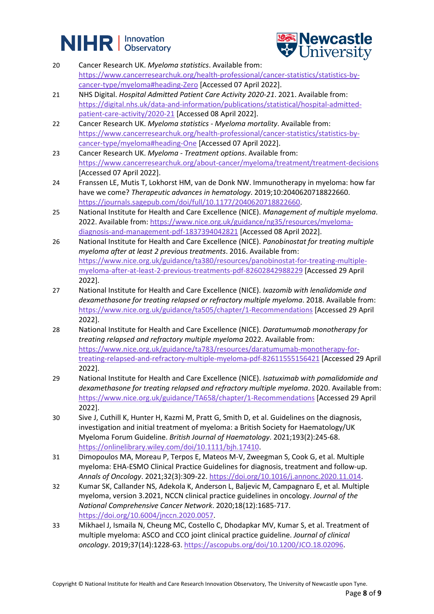



- 20 Cancer Research UK. *Myeloma statistics*. Available from: [https://www.cancerresearchuk.org/health-professional/cancer-statistics/statistics-by](https://www.cancerresearchuk.org/health-professional/cancer-statistics/statistics-by-cancer-type/myeloma#heading-Zero)[cancer-type/myeloma#heading-Zero](https://www.cancerresearchuk.org/health-professional/cancer-statistics/statistics-by-cancer-type/myeloma#heading-Zero) [Accessed 07 April 2022].
- 21 NHS Digital. *Hospital Admitted Patient Care Activity 2020-21*. 2021. Available from: [https://digital.nhs.uk/data-and-information/publications/statistical/hospital-admitted](https://digital.nhs.uk/data-and-information/publications/statistical/hospital-admitted-patient-care-activity/2020-21)[patient-care-activity/2020-21](https://digital.nhs.uk/data-and-information/publications/statistical/hospital-admitted-patient-care-activity/2020-21) [Accessed 08 April 2022].
- 22 Cancer Research UK. *Myeloma statistics - Myeloma mortality*. Available from: [https://www.cancerresearchuk.org/health-professional/cancer-statistics/statistics-by](https://www.cancerresearchuk.org/health-professional/cancer-statistics/statistics-by-cancer-type/myeloma#heading-One)[cancer-type/myeloma#heading-One](https://www.cancerresearchuk.org/health-professional/cancer-statistics/statistics-by-cancer-type/myeloma#heading-One) [Accessed 07 April 2022].
- 23 Cancer Research UK. *Myeloma - Treatment options*. Available from: <https://www.cancerresearchuk.org/about-cancer/myeloma/treatment/treatment-decisions> [Accessed 07 April 2022].
- 24 Franssen LE, Mutis T, Lokhorst HM, van de Donk NW. Immunotherapy in myeloma: how far have we come? *Therapeutic advances in hematology*. 2019;10:2040620718822660. [https://journals.sagepub.com/doi/full/10.1177/2040620718822660.](https://journals.sagepub.com/doi/full/10.1177/2040620718822660)
- 25 National Institute for Health and Care Excellence (NICE). *Management of multiple myeloma*. 2022. Available from: [https://www.nice.org.uk/guidance/ng35/resources/myeloma](https://www.nice.org.uk/guidance/ng35/resources/myeloma-diagnosis-and-management-pdf-1837394042821)[diagnosis-and-management-pdf-1837394042821](https://www.nice.org.uk/guidance/ng35/resources/myeloma-diagnosis-and-management-pdf-1837394042821) [Accessed 08 April 2022].
- 26 National Institute for Health and Care Excellence (NICE). *Panobinostat for treating multiple myeloma after at least 2 previous treatments*. 2016. Available from: [https://www.nice.org.uk/guidance/ta380/resources/panobinostat-for-treating-multiple](https://www.nice.org.uk/guidance/ta380/resources/panobinostat-for-treating-multiple-myeloma-after-at-least-2-previous-treatments-pdf-82602842988229)[myeloma-after-at-least-2-previous-treatments-pdf-82602842988229](https://www.nice.org.uk/guidance/ta380/resources/panobinostat-for-treating-multiple-myeloma-after-at-least-2-previous-treatments-pdf-82602842988229) [Accessed 29 April 2022].
- 27 National Institute for Health and Care Excellence (NICE). *Ixazomib with lenalidomide and dexamethasone for treating relapsed or refractory multiple myeloma*. 2018. Available from: <https://www.nice.org.uk/guidance/ta505/chapter/1-Recommendations> [Accessed 29 April 2022].
- 28 National Institute for Health and Care Excellence (NICE). *Daratumumab monotherapy for treating relapsed and refractory multiple myeloma* 2022. Available from: [https://www.nice.org.uk/guidance/ta783/resources/daratumumab-monotherapy-for](https://www.nice.org.uk/guidance/ta783/resources/daratumumab-monotherapy-for-treating-relapsed-and-refractory-multiple-myeloma-pdf-82611555156421)[treating-relapsed-and-refractory-multiple-myeloma-pdf-82611555156421](https://www.nice.org.uk/guidance/ta783/resources/daratumumab-monotherapy-for-treating-relapsed-and-refractory-multiple-myeloma-pdf-82611555156421) [Accessed 29 April 2022].
- 29 National Institute for Health and Care Excellence (NICE). *Isatuximab with pomalidomide and dexamethasone for treating relapsed and refractory multiple myeloma*. 2020. Available from: <https://www.nice.org.uk/guidance/TA658/chapter/1-Recommendations> [Accessed 29 April 2022].
- 30 Sive J, Cuthill K, Hunter H, Kazmi M, Pratt G, Smith D, et al. Guidelines on the diagnosis, investigation and initial treatment of myeloma: a British Society for Haematology/UK Myeloma Forum Guideline. *British Journal of Haematology*. 2021;193(2):245-68. [https://onlinelibrary.wiley.com/doi/10.1111/bjh.17410.](https://onlinelibrary.wiley.com/doi/10.1111/bjh.17410)
- 31 Dimopoulos MA, Moreau P, Terpos E, Mateos M-V, Zweegman S, Cook G, et al. Multiple myeloma: EHA-ESMO Clinical Practice Guidelines for diagnosis, treatment and follow-up. *Annals of Oncology*. 2021;32(3):309-22. [https://doi.org/10.1016/j.annonc.2020.11.014.](https://doi.org/10.1016/j.annonc.2020.11.014)
- 32 Kumar SK, Callander NS, Adekola K, Anderson L, Baljevic M, Campagnaro E, et al. Multiple myeloma, version 3.2021, NCCN clinical practice guidelines in oncology. *Journal of the National Comprehensive Cancer Network*. 2020;18(12):1685-717. [https://doi.org/10.6004/jnccn.2020.0057.](https://doi.org/10.6004/jnccn.2020.0057)
- 33 Mikhael J, Ismaila N, Cheung MC, Costello C, Dhodapkar MV, Kumar S, et al. Treatment of multiple myeloma: ASCO and CCO joint clinical practice guideline. *Journal of clinical oncology*. 2019;37(14):1228-63. [https://ascopubs.org/doi/10.1200/JCO.18.02096.](https://ascopubs.org/doi/10.1200/JCO.18.02096)